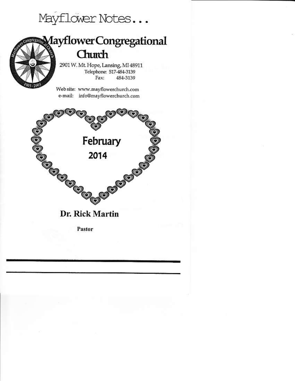Mayflower Notes...



Pastor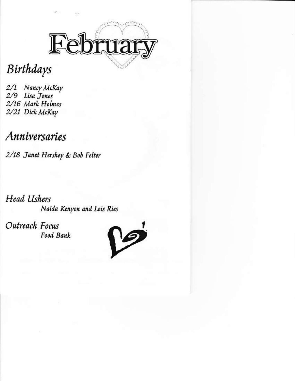

## Birthdays

2/1 Nancy McKay<br>2/9 Lisa Jones 2/16 Mark Holmes 2/21 Dick McKay

### Anniversaries

2/18 Janet Hershey & Bob Felter

Head Ushers Naida Kenyon and Lois Ries

Outreach Focus Food Bank

 $\mathcal{G}$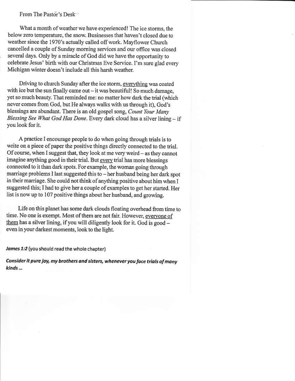From The Pastor's Desk

What a month of weather we have experienced! The ice storms, the below zero temperature, the snow. Businesses that haven't closed due to weather since the 1970's actually called off work. Mayflower Church cancelled a couple of Sunday morning services and our office was closed several days. Only by a miracle of God did we have the opportunity to celebrate Jesus' birth with our Christmas Eve Service. I'm sure glad every Michigan winter doesn't include all this harsh weather.

Driving to church Sunday after the ice storm, everything was coated with ice but the sun finally came out - it was beautiful! So much damage, yet so much beauty. That reminded me: no matter how dark the trial (which never comes from God, but He always walks with us through it). God's blessings are abundant. There is an old gospel song, Count Your Many Blessing See What God Has Done. Every dark cloud has a silver lining - if vou look for it.

A practice I encourage people to do when going through trials is to write on a piece of paper the positive things directly connected to the trial. Of course, when I suggest that, they look at me very weird - as they cannot imagine anything good in their trial. But every trial has more blessings connected to it than dark spots. For example, the woman going through marriage problems I last suggested this to - her husband being her dark spot in their marriage. She could not think of anything positive about him when I suggested this; I had to give her a couple of examples to get her started. Her list is now up to 107 positive things about her husband, and growing.

Life on this planet has some dark clouds floating overhead from time to time. No one is exempt. Most of them are not fair. However, everyone of them has a silver lining, if you will diligently look for it. God is good even in your darkest moments, look to the light.

James 1:2 (you should read the whole chapter)

Consider it pure joy, my brothers and sisters, whenever you face trials of many kinds...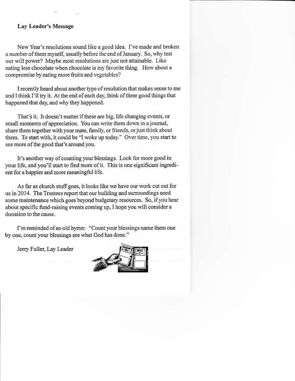#### Lay Leader's Message

New Year's resolutions sound like a good idea. I've made and broken a number of them myself, usually before the end of January. So, why test our will power? Maybe most resolutions are just not attainable. Like eating less chocolate when chocolate is my favorite thing. How about a compromise by eating more fruits and vegetables?

I recently heard about another type of resolution that makes sense to me and I think I'll try it. At the end of each day, think of three good things that happened that day, and why they happened.

That's it. It doesn't matter if these are big, life changing events, or small moments of appreciation. You can write them down in a journal, share them together with your mate, family, or friends, or just think about them. To start with, it could be "I woke up today." Over time, you start to see more of the good that's around you.

It's another way of counting your blessings. Look for more good in your life, and you'll start to find more of it. This is one significant ingredient for a happier and more meaningful life.

As far as church stuff goes, it looks like we have our work cut out for us in 2014. The Trustees report that our building and surroundings need some maintenance which goes beyond budgetary resources. So, if you hear about specific fund-raising events coming up. I hope you will consider a donation to the cause.

I'm reminded of an old hymn: "Count your blessings name them one by one, count your blessings see what God has done."

Jerry Fuller, Lay Leader

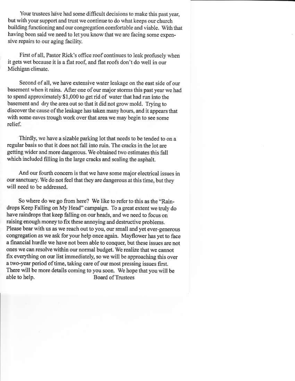Your trustees have had some difficult decisions to make this past year. but with your support and trust we continue to do what keeps our church building functioning and our congregation comfortable and viable. With that having been said we need to let you know that we are facing some expensive repairs to our aging facility.

First of all, Pastor Rick's office roof continues to leak profusely when it gets wet because it is a flat roof, and flat roofs don't do well in our Michigan climate.

Second of all, we have extensive water leakage on the east side of our basement when it rains. After one of our major storms this past year we had to spend approximately \$1,000 to get rid of water that had run into the basement and dry the area out so that it did not grow mold. Trying to discover the cause of the leakage has taken many hours, and it appears that with some eaves trough work over that area we may begin to see some relief

Thirdly, we have a sizable parking lot that needs to be tended to on a regular basis so that it does not fall into ruin. The cracks in the lot are getting wider and more dangerous. We obtained two estimates this fall which included filling in the large cracks and sealing the asphalt.

And our fourth concern is that we have some major electrical issues in our sanctuary. We do not feel that they are dangerous at this time, but they will need to be addressed.

So where do we go from here? We like to refer to this as the "Raindrops Keep Falling on My Head" campaign. To a great extent we truly do have raindrops that keep falling on our heads, and we need to focus on raising enough money to fix these annoying and destructive problems. Please bear with us as we reach out to you, our small and yet ever-generous congregation as we ask for your help once again. Mayflower has yet to face a financial hurdle we have not been able to conquer, but these issues are not ones we can resolve within our normal budget. We realize that we cannot fix everything on our list immediately, so we will be approaching this over a two-year period of time, taking care of our most pressing issues first. There will be more details coming to you soon. We hope that you will be able to help. **Board of Trustees**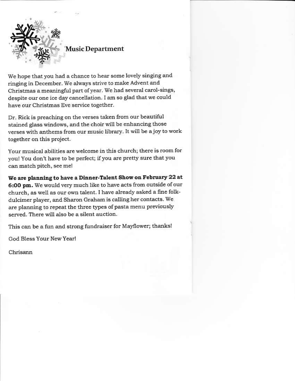

We hope that you had a chance to hear some lovely singing and ringing in December. We always strive to make Advent and Christmas a meaningful part of year. We had several carol-sings, despite our one ice day cancellation. I am so glad that we could have our Christmas Eve service together.

Dr. Rick is preaching on the verses taken from our beautiful stained glass windows, and the choir will be enhancing those verses with anthems from our music library. It will be a joy to work together on this project.

Your musical abilities are welcome in this church; there is room for you! You don't have to be perfect; if you are pretty sure that you can match pitch, see mel

We are planning to have a Dinner-Talent Show on February 22 at 6:00 pm. We would very much like to have acts from outside of our church, as well as our own talent. I have already asked a fine folkdulcimer player, and Sharon Graham is calling her contacts. We are planning to repeat the three types of pasta menu previously served. There will also be a silent auction.

This can be a fun and strong fundraiser for Mayflower; thanks!

God Bless Your New Year!

Chrisann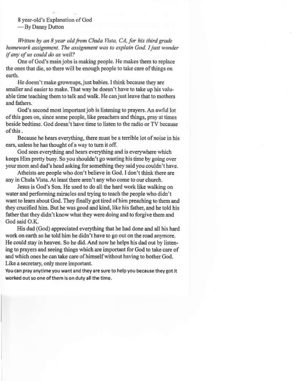8 year-old's Explanation of God -By Danny Dutton

Written by an 8 year old from Chula Vista, CA, for his third grade homework assignment. The assignment was to explain God. I just wonder if any of us could do as well?

One of God's main jobs is making people. He makes them to replace the ones that die, so there will be enough people to take care of things on earth.

He doesn't make grownups, just babies. I think because they are smaller and easier to make. That way he doesn't have to take up his valuable time teaching them to talk and walk. He can just leave that to mothers and fathers.

God's second most important job is listening to prayers. An awful lot of this goes on, since some people, like preachers and things, pray at times beside bedtime. God doesn't have time to listen to the radio or TV because of this.

Because he hears everything, there must be a terrible lot of noise in his ears, unless he has thought of a way to turn it off.

God sees everything and hears everything and is everywhere which keeps Him pretty busy. So you shouldn't go wasting his time by going over your mom and dad's head asking for something they said you couldn't have.

Atheists are people who don't believe in God. I don't think there are any in Chula Vista. At least there aren't any who come to our church.

Jesus is God's Son. He used to do all the hard work like walking on water and performing miracles and trying to teach the people who didn't want to learn about God. They finally got tired of him preaching to them and they crucified him. But he was good and kind, like his father, and he told his father that they didn't know what they were doing and to forgive them and God said O.K.

His dad (God) appreciated everything that he had done and all his hard work on earth so he told him he didn't have to go out on the road anymore. He could stay in heaven. So he did. And now he helps his dad out by listening to prayers and seeing things which are important for God to take care of and which ones he can take care of himself without having to bother God. Like a secretary, only more important.

You can pray anytime you want and they are sure to help you because they got it worked out so one of them is on duty all the time.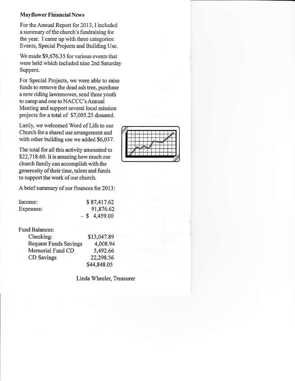#### **Mayflower Financial News**

For the Annual Report for 2013, I included a summary of the church's fundraising for the year. I came up with three categories: Events, Special Projects and Building Use.

We made \$9,676.35 for various events that were held which included nine 2nd Saturday Suppers.

For Special Projects, we were able to raise funds to remove the dead ash tree, purchase a new riding lawnmower, send three youth to camp and one to NACCC's Annual Meeting and support several local mission projects for a total of \$7,005.25 donated.

Lastly, we welcomed Word of Life to our Church for a shared use arrangement and with other building use we added \$6.037.

The total for all this activity amounted to \$22,718.60. It is amazing how much our church family can accomplish with the generosity of their time, talent and funds to support the work of our church.

A brief summary of our finances for 2013:

| Income:   | \$87,417.62     |  |  |  |
|-----------|-----------------|--|--|--|
| Expenses: | 91,876.62       |  |  |  |
|           | $-$ \$ 4,459.00 |  |  |  |

#### Fund Balances:

| Checking:                    | \$13,047.89 |
|------------------------------|-------------|
| <b>Bequest Funds Savings</b> | 4,008.94    |
| Memorial Fund CD             | 5,492.66    |
| CD Savings                   | 22,298.56   |
|                              | \$44,848,05 |



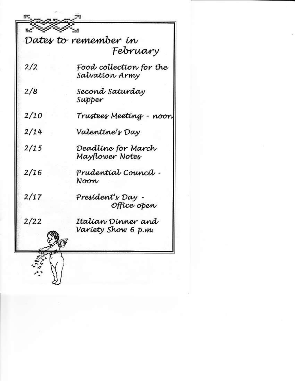Dates to remember in February  $2/2$ Food collection for the Salvation Army  $2/8$ Second Saturday Supper Trustees Meeting - noon  $2/10$  $2/14$ Valentine's Day  $2/15$ Deadline for March Mayflower Notes  $2/16$ Prudential Council -Noon  $2/17$ President's Day -Office open  $2/22$ Italian Dinner and Variety Show 6 p.m.